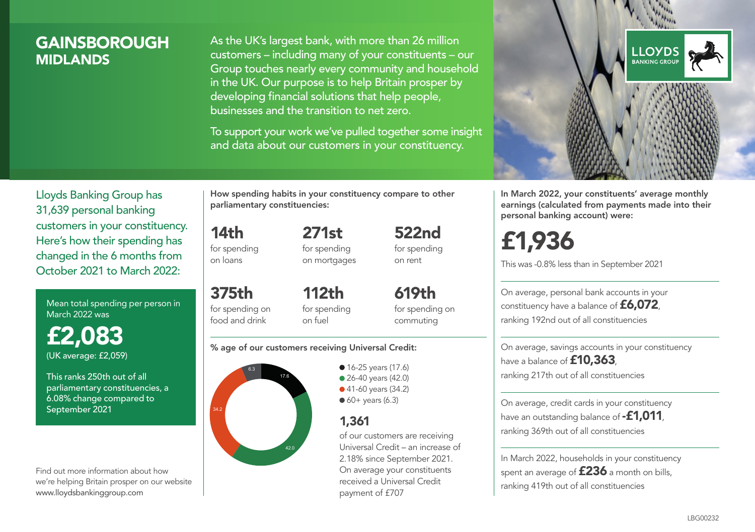### **GAINSBOROUGH MIDI ANDS**

As the UK's largest bank, with more than 26 million customers – including many of your constituents – our Group touches nearly every community and household in the UK. Our purpose is to help Britain prosper by developing financial solutions that help people, businesses and the transition to net zero.

To support your work we've pulled together some insight and data about our customers in your constituency.



In March 2022, your constituents' average monthly earnings (calculated from payments made into their personal banking account) were:

# £1,936

This was -0.8% less than in September 2021

On average, personal bank accounts in your constituency have a balance of £6,072, ranking 192nd out of all constituencies

On average, savings accounts in your constituency have a balance of **£10,363** ranking 217th out of all constituencies

On average, credit cards in your constituency have an outstanding balance of **-£1,011**, ranking 369th out of all constituencies

In March 2022, households in your constituency spent an average of  $£236$  a month on bills, ranking 419th out of all constituencies

Lloyds Banking Group has 31,639 personal banking customers in your constituency. Here's how their spending has changed in the 6 months from October 2021 to March 2022:

Mean total spending per person in March 2022 was

£2,083 (UK average: £2,059)

This ranks 250th out of all parliamentary constituencies, a 6.08% change compared to September 2021

Find out more information about how we're helping Britain prosper on our website www.lloydsbankinggroup.com

How spending habits in your constituency compare to other parliamentary constituencies:

for spending 271st

14th

on loans

375th for spending on food and drink

for spending on mortgages 522nd for spending on rent

112th for spending on fuel

619th for spending on commuting

#### % age of our customers receiving Universal Credit:



• 16-25 years (17.6) ● 26-40 years (42.0) ● 41-60 years (34.2)  $60+$  years (6.3)

### 1,361

of our customers are receiving Universal Credit – an increase of 2.18% since September 2021. On average your constituents received a Universal Credit payment of £707